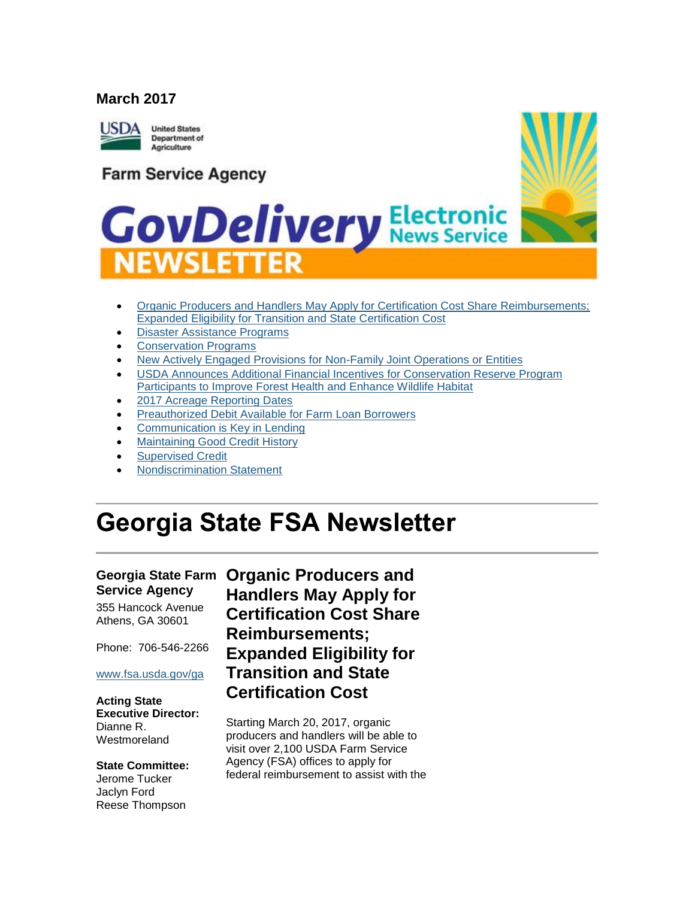#### **March 2017**



**Farm Service Agency** 



# **GovDelivery Electronic NEWSLETTER**

- Organic Producers and Handlers May Apply for Certification Cost Share Reimbursements; [Expanded Eligibility for Transition and State Certification Cost](#page-0-0)
- [Disaster Assistance Programs](#page-2-0)
- [Conservation Programs](#page-2-1)
- [New Actively Engaged Provisions for Non-Family Joint Operations or Entities](#page-2-2)
- [USDA Announces Additional Financial Incentives for Conservation Reserve Program](#page-3-0)  [Participants to Improve Forest Health and Enhance Wildlife Habitat](#page-3-0)
- [2017 Acreage Reporting Dates](#page-3-1)
- [Preauthorized Debit Available for Farm Loan Borrowers](#page-4-0)
- [Communication is Key in Lending](#page-5-0)
- [Maintaining Good Credit History](#page-5-1)
- [Supervised Credit](#page-6-0)
- [Nondiscrimination Statement](#page-6-1)

# **Georgia State FSA Newsletter**

# **Service Agency**

355 Hancock Avenue Athens, GA 30601

Phone: 706-546-2266

#### [www.fsa.usda.gov/ga](http://www.fsa.usda.gov/ga)

**Acting State Executive Director:** Dianne R. Westmoreland

**State Committee:** Jerome Tucker Jaclyn Ford Reese Thompson

### <span id="page-0-0"></span>**Georgia State Farm Organic Producers and Handlers May Apply for Certification Cost Share Reimbursements; Expanded Eligibility for Transition and State Certification Cost**

Starting March 20, 2017, organic producers and handlers will be able to visit over 2,100 USDA Farm Service Agency (FSA) offices to apply for federal reimbursement to assist with the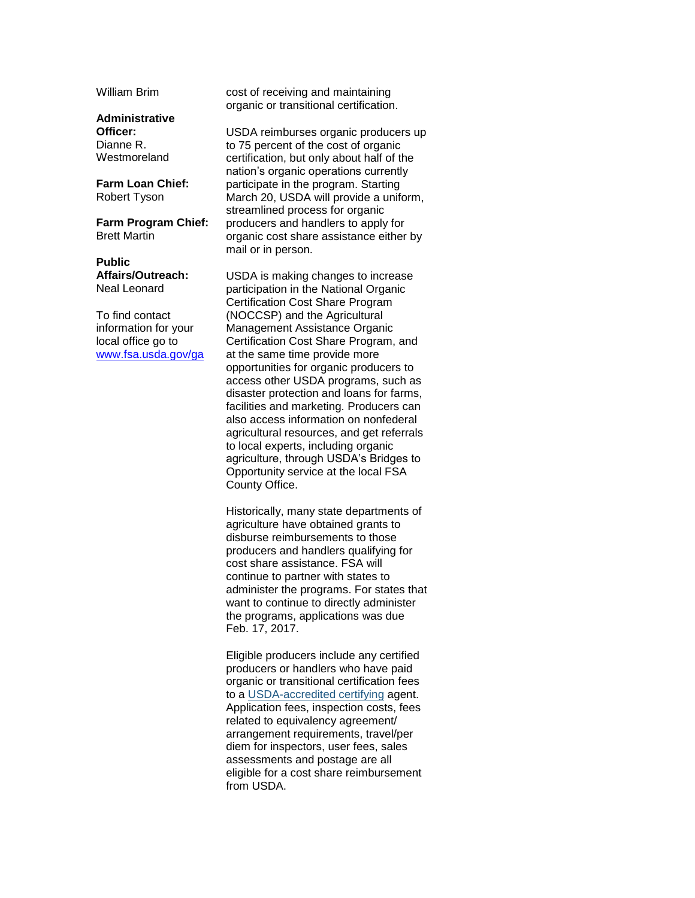William Brim

**Administrative Officer:** Dianne R. Westmoreland

**Farm Loan Chief:** Robert Tyson

**Farm Program Chief:** Brett Martin

**Public Affairs/Outreach:** Neal Leonard

To find contact information for your local office go to [www.fsa.usda.gov/ga](http://www.fsa.usda.gov/ga) cost of receiving and maintaining organic or transitional certification.

USDA reimburses organic producers up to 75 percent of the cost of organic certification, but only about half of the nation's organic operations currently participate in the program. Starting March 20, USDA will provide a uniform, streamlined process for organic producers and handlers to apply for organic cost share assistance either by mail or in person.

USDA is making changes to increase participation in the National Organic Certification Cost Share Program (NOCCSP) and the Agricultural Management Assistance Organic Certification Cost Share Program, and at the same time provide more opportunities for organic producers to access other USDA programs, such as disaster protection and loans for farms, facilities and marketing. Producers can also access information on nonfederal agricultural resources, and get referrals to local experts, including organic agriculture, through USDA's Bridges to Opportunity service at the local FSA County Office.

Historically, many state departments of agriculture have obtained grants to disburse reimbursements to those producers and handlers qualifying for cost share assistance. FSA will continue to partner with states to administer the programs. For states that want to continue to directly administer the programs, applications was due Feb. 17, 2017.

Eligible producers include any certified producers or handlers who have paid organic or transitional certification fees to a [USDA-accredited certifying](https://www.ams.usda.gov/services/organic-certification/certifying-agents) agent. Application fees, inspection costs, fees related to equivalency agreement/ arrangement requirements, travel/per diem for inspectors, user fees, sales assessments and postage are all eligible for a cost share reimbursement from USDA.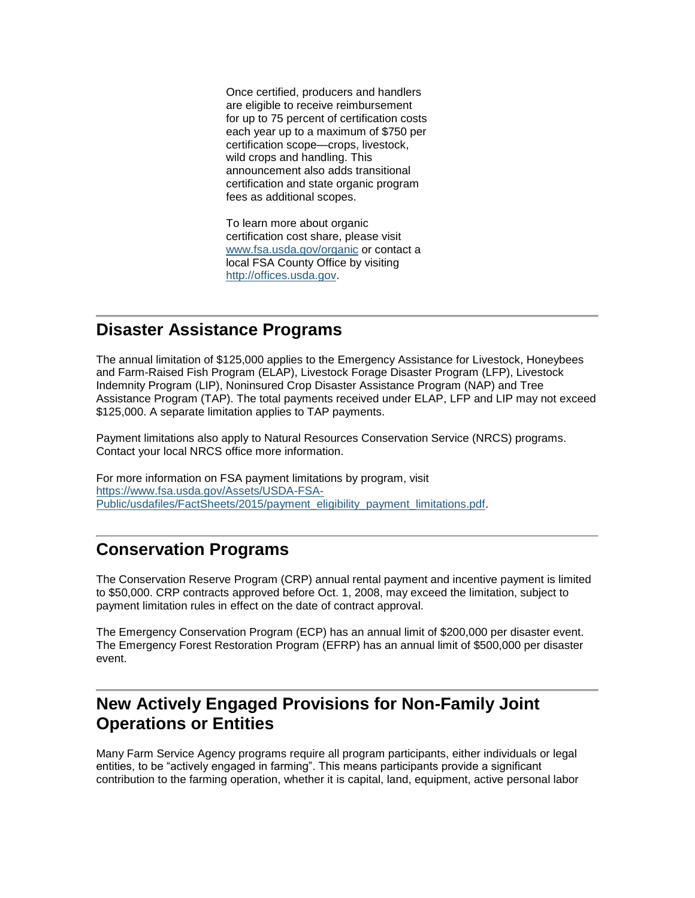Once certified, producers and handlers are eligible to receive reimbursement for up to 75 percent of certification costs each year up to a maximum of \$750 per certification scope—crops, livestock, wild crops and handling. This announcement also adds transitional certification and state organic program fees as additional scopes.

To learn more about organic certification cost share, please visit [www.fsa.usda.gov/organic](https://www.fsa.usda.gov/programs-and-services/outreach-and-education/help-for-organic-farming/index) or contact a local FSA County Office by visiting [http://offices.usda.gov.](https://offices.sc.egov.usda.gov/locator/app)

#### <span id="page-2-0"></span>**Disaster Assistance Programs**

The annual limitation of \$125,000 applies to the Emergency Assistance for Livestock, Honeybees and Farm-Raised Fish Program (ELAP), Livestock Forage Disaster Program (LFP), Livestock Indemnity Program (LIP), Noninsured Crop Disaster Assistance Program (NAP) and Tree Assistance Program (TAP). The total payments received under ELAP, LFP and LIP may not exceed \$125,000. A separate limitation applies to TAP payments.

Payment limitations also apply to Natural Resources Conservation Service (NRCS) programs. Contact your local NRCS office more information.

For more information on FSA payment limitations by program, visit [https://www.fsa.usda.gov/Assets/USDA-FSA-](https://www.fsa.usda.gov/Assets/USDA-FSA-Public/usdafiles/FactSheets/2015/payment_eligibility_payment_limitations.pdf)[Public/usdafiles/FactSheets/2015/payment\\_eligibility\\_payment\\_limitations.pdf.](https://www.fsa.usda.gov/Assets/USDA-FSA-Public/usdafiles/FactSheets/2015/payment_eligibility_payment_limitations.pdf)

#### <span id="page-2-1"></span>**Conservation Programs**

The Conservation Reserve Program (CRP) annual rental payment and incentive payment is limited to \$50,000. CRP contracts approved before Oct. 1, 2008, may exceed the limitation, subject to payment limitation rules in effect on the date of contract approval.

The Emergency Conservation Program (ECP) has an annual limit of \$200,000 per disaster event. The Emergency Forest Restoration Program (EFRP) has an annual limit of \$500,000 per disaster event.

### <span id="page-2-2"></span>**New Actively Engaged Provisions for Non-Family Joint Operations or Entities**

Many Farm Service Agency programs require all program participants, either individuals or legal entities, to be "actively engaged in farming". This means participants provide a significant contribution to the farming operation, whether it is capital, land, equipment, active personal labor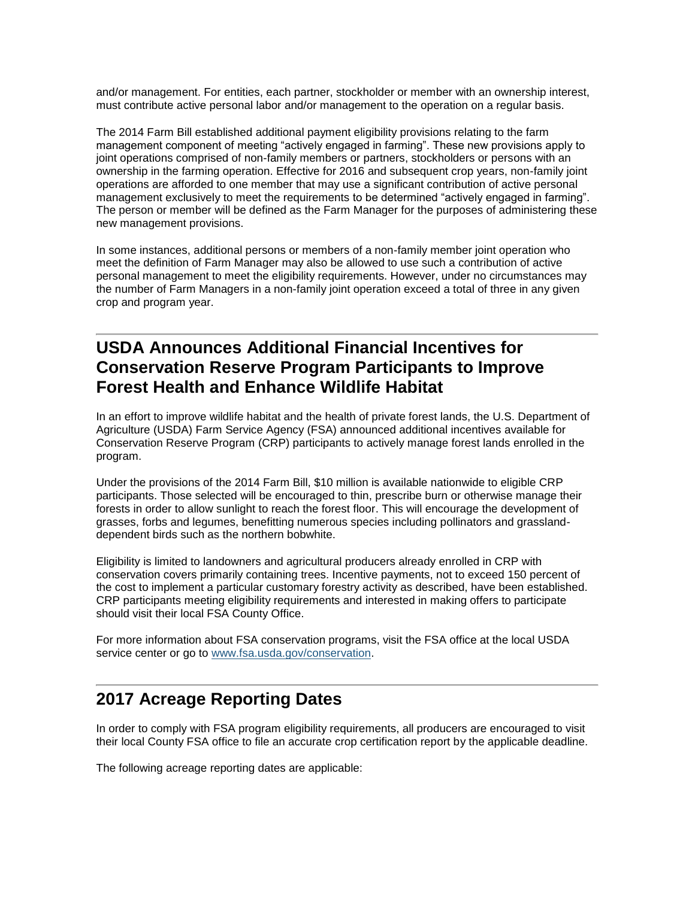and/or management. For entities, each partner, stockholder or member with an ownership interest, must contribute active personal labor and/or management to the operation on a regular basis.

The 2014 Farm Bill established additional payment eligibility provisions relating to the farm management component of meeting "actively engaged in farming". These new provisions apply to joint operations comprised of non-family members or partners, stockholders or persons with an ownership in the farming operation. Effective for 2016 and subsequent crop years, non-family joint operations are afforded to one member that may use a significant contribution of active personal management exclusively to meet the requirements to be determined "actively engaged in farming". The person or member will be defined as the Farm Manager for the purposes of administering these new management provisions.

In some instances, additional persons or members of a non-family member joint operation who meet the definition of Farm Manager may also be allowed to use such a contribution of active personal management to meet the eligibility requirements. However, under no circumstances may the number of Farm Managers in a non-family joint operation exceed a total of three in any given crop and program year.

#### <span id="page-3-0"></span>**USDA Announces Additional Financial Incentives for Conservation Reserve Program Participants to Improve Forest Health and Enhance Wildlife Habitat**

In an effort to improve wildlife habitat and the health of private forest lands, the U.S. Department of Agriculture (USDA) Farm Service Agency (FSA) announced additional incentives available for Conservation Reserve Program (CRP) participants to actively manage forest lands enrolled in the program.

Under the provisions of the 2014 Farm Bill, \$10 million is available nationwide to eligible CRP participants. Those selected will be encouraged to thin, prescribe burn or otherwise manage their forests in order to allow sunlight to reach the forest floor. This will encourage the development of grasses, forbs and legumes, benefitting numerous species including pollinators and grasslanddependent birds such as the northern bobwhite.

Eligibility is limited to landowners and agricultural producers already enrolled in CRP with conservation covers primarily containing trees. Incentive payments, not to exceed 150 percent of the cost to implement a particular customary forestry activity as described, have been established. CRP participants meeting eligibility requirements and interested in making offers to participate should visit their local FSA County Office.

For more information about FSA conservation programs, visit the FSA office at the local USDA service center or go to [www.fsa.usda.gov/conservation.](http://www.fsa.usda.gov/conservation)

#### <span id="page-3-1"></span>**2017 Acreage Reporting Dates**

In order to comply with FSA program eligibility requirements, all producers are encouraged to visit their local County FSA office to file an accurate crop certification report by the applicable deadline.

The following acreage reporting dates are applicable: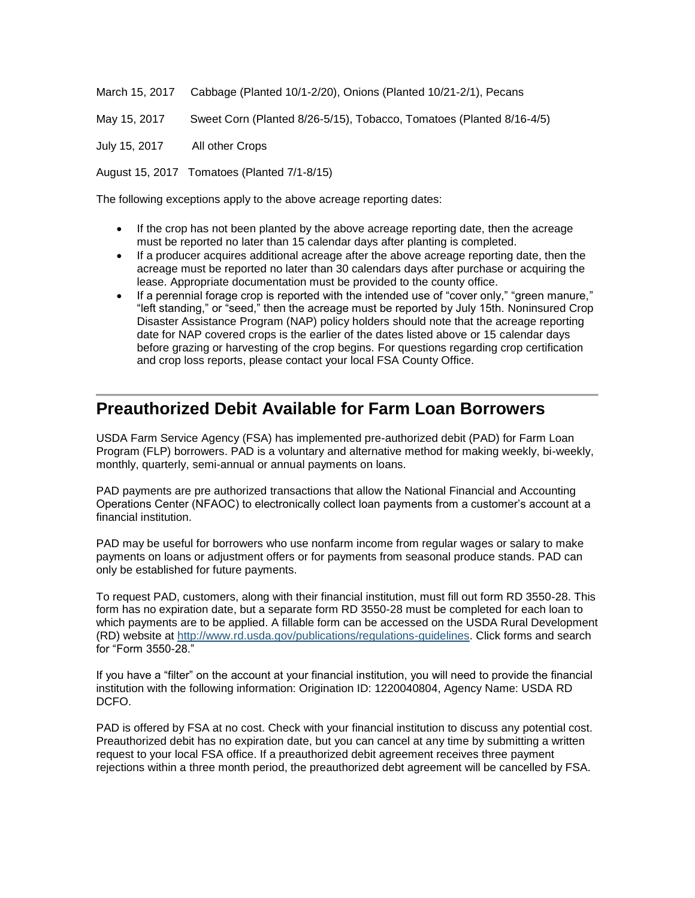March 15, 2017 Cabbage (Planted 10/1-2/20), Onions (Planted 10/21-2/1), Pecans

May 15, 2017 Sweet Corn (Planted 8/26-5/15), Tobacco, Tomatoes (Planted 8/16-4/5)

July 15, 2017 All other Crops

August 15, 2017 Tomatoes (Planted 7/1-8/15)

The following exceptions apply to the above acreage reporting dates:

- If the crop has not been planted by the above acreage reporting date, then the acreage must be reported no later than 15 calendar days after planting is completed.
- If a producer acquires additional acreage after the above acreage reporting date, then the acreage must be reported no later than 30 calendars days after purchase or acquiring the lease. Appropriate documentation must be provided to the county office.
- If a perennial forage crop is reported with the intended use of "cover only," "green manure," "left standing," or "seed," then the acreage must be reported by July 15th. Noninsured Crop Disaster Assistance Program (NAP) policy holders should note that the acreage reporting date for NAP covered crops is the earlier of the dates listed above or 15 calendar days before grazing or harvesting of the crop begins. For questions regarding crop certification and crop loss reports, please contact your local FSA County Office.

#### <span id="page-4-0"></span>**Preauthorized Debit Available for Farm Loan Borrowers**

USDA Farm Service Agency (FSA) has implemented pre-authorized debit (PAD) for Farm Loan Program (FLP) borrowers. PAD is a voluntary and alternative method for making weekly, bi-weekly, monthly, quarterly, semi-annual or annual payments on loans.

PAD payments are pre authorized transactions that allow the National Financial and Accounting Operations Center (NFAOC) to electronically collect loan payments from a customer's account at a financial institution.

PAD may be useful for borrowers who use nonfarm income from regular wages or salary to make payments on loans or adjustment offers or for payments from seasonal produce stands. PAD can only be established for future payments.

To request PAD, customers, along with their financial institution, must fill out form RD 3550-28. This form has no expiration date, but a separate form RD 3550-28 must be completed for each loan to which payments are to be applied. A fillable form can be accessed on the USDA Rural Development (RD) website at [http://www.rd.usda.gov/publications/regulations-guidelines.](http://www.rd.usda.gov/publications/regulations-guidelines) Click forms and search for "Form 3550-28."

If you have a "filter" on the account at your financial institution, you will need to provide the financial institution with the following information: Origination ID: 1220040804, Agency Name: USDA RD DCFO.

PAD is offered by FSA at no cost. Check with your financial institution to discuss any potential cost. Preauthorized debit has no expiration date, but you can cancel at any time by submitting a written request to your local FSA office. If a preauthorized debit agreement receives three payment rejections within a three month period, the preauthorized debt agreement will be cancelled by FSA.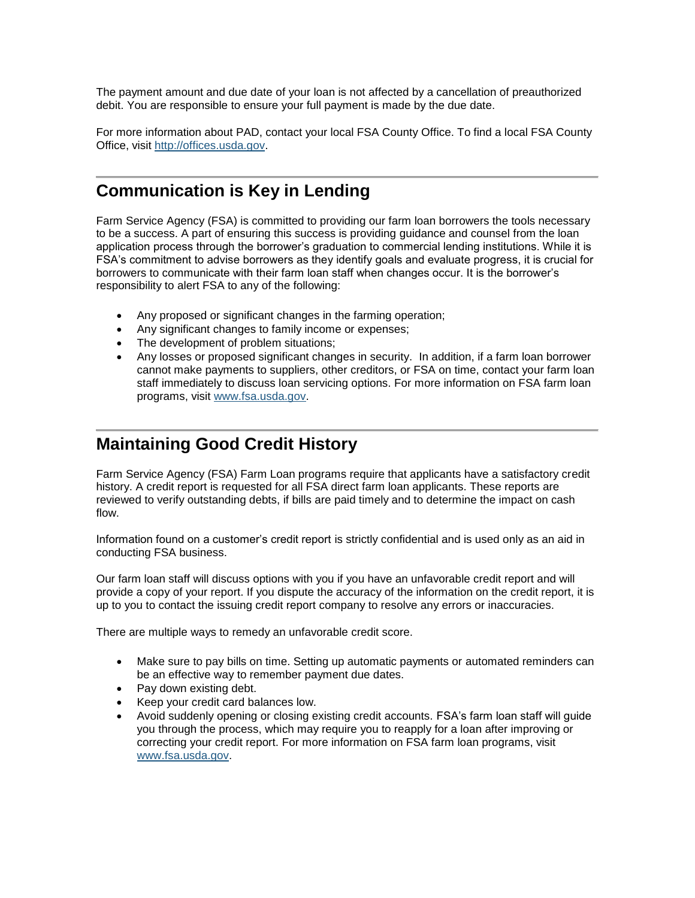The payment amount and due date of your loan is not affected by a cancellation of preauthorized debit. You are responsible to ensure your full payment is made by the due date.

For more information about PAD, contact your local FSA County Office. To find a local FSA County Office, visit [http://offices.usda.gov.](http://offices.usda.gov/)

#### <span id="page-5-0"></span>**Communication is Key in Lending**

Farm Service Agency (FSA) is committed to providing our farm loan borrowers the tools necessary to be a success. A part of ensuring this success is providing guidance and counsel from the loan application process through the borrower's graduation to commercial lending institutions. While it is FSA's commitment to advise borrowers as they identify goals and evaluate progress, it is crucial for borrowers to communicate with their farm loan staff when changes occur. It is the borrower's responsibility to alert FSA to any of the following:

- Any proposed or significant changes in the farming operation;
- Any significant changes to family income or expenses;
- The development of problem situations;
- Any losses or proposed significant changes in security. In addition, if a farm loan borrower cannot make payments to suppliers, other creditors, or FSA on time, contact your farm loan staff immediately to discuss loan servicing options. For more information on FSA farm loan programs, visit [www.fsa.usda.gov.](http://www.fsa.usda.gov/)

#### <span id="page-5-1"></span>**Maintaining Good Credit History**

Farm Service Agency (FSA) Farm Loan programs require that applicants have a satisfactory credit history. A credit report is requested for all FSA direct farm loan applicants. These reports are reviewed to verify outstanding debts, if bills are paid timely and to determine the impact on cash flow.

Information found on a customer's credit report is strictly confidential and is used only as an aid in conducting FSA business.

Our farm loan staff will discuss options with you if you have an unfavorable credit report and will provide a copy of your report. If you dispute the accuracy of the information on the credit report, it is up to you to contact the issuing credit report company to resolve any errors or inaccuracies.

There are multiple ways to remedy an unfavorable credit score.

- Make sure to pay bills on time. Setting up automatic payments or automated reminders can be an effective way to remember payment due dates.
- Pay down existing debt.
- Keep your credit card balances low.
- Avoid suddenly opening or closing existing credit accounts. FSA's farm loan staff will guide you through the process, which may require you to reapply for a loan after improving or correcting your credit report. For more information on FSA farm loan programs, visit [www.fsa.usda.gov.](http://www.fsa.usda.gov/)